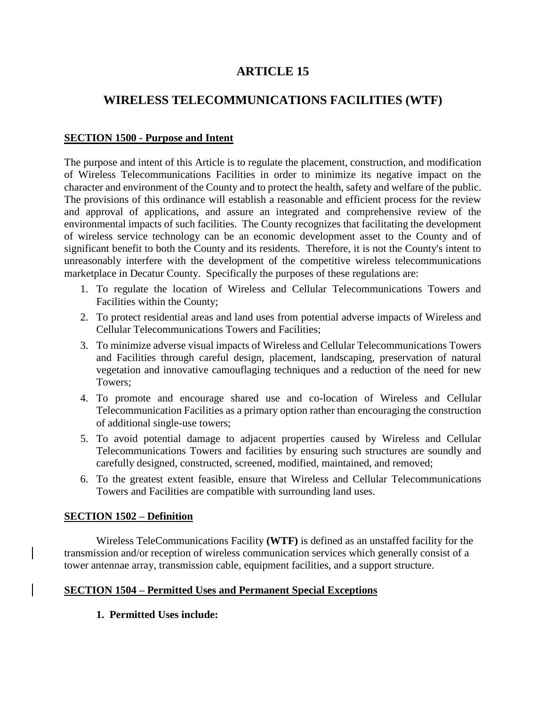# **ARTICLE 15**

# **WIRELESS TELECOMMUNICATIONS FACILITIES (WTF)**

#### **SECTION 1500 - Purpose and Intent**

The purpose and intent of this Article is to regulate the placement, construction, and modification of Wireless Telecommunications Facilities in order to minimize its negative impact on the character and environment of the County and to protect the health, safety and welfare of the public. The provisions of this ordinance will establish a reasonable and efficient process for the review and approval of applications, and assure an integrated and comprehensive review of the environmental impacts of such facilities. The County recognizes that facilitating the development of wireless service technology can be an economic development asset to the County and of significant benefit to both the County and its residents. Therefore, it is not the County's intent to unreasonably interfere with the development of the competitive wireless telecommunications marketplace in Decatur County. Specifically the purposes of these regulations are:

- 1. To regulate the location of Wireless and Cellular Telecommunications Towers and Facilities within the County;
- 2. To protect residential areas and land uses from potential adverse impacts of Wireless and Cellular Telecommunications Towers and Facilities;
- 3. To minimize adverse visual impacts of Wireless and Cellular Telecommunications Towers and Facilities through careful design, placement, landscaping, preservation of natural vegetation and innovative camouflaging techniques and a reduction of the need for new Towers;
- 4. To promote and encourage shared use and co-location of Wireless and Cellular Telecommunication Facilities as a primary option rather than encouraging the construction of additional single-use towers;
- 5. To avoid potential damage to adjacent properties caused by Wireless and Cellular Telecommunications Towers and facilities by ensuring such structures are soundly and carefully designed, constructed, screened, modified, maintained, and removed;
- 6. To the greatest extent feasible, ensure that Wireless and Cellular Telecommunications Towers and Facilities are compatible with surrounding land uses.

#### **SECTION 1502 – Definition**

Wireless TeleCommunications Facility **(WTF)** is defined as an unstaffed facility for the transmission and/or reception of wireless communication services which generally consist of a tower antennae array, transmission cable, equipment facilities, and a support structure.

### **SECTION 1504 – Permitted Uses and Permanent Special Exceptions**

**1. Permitted Uses include:**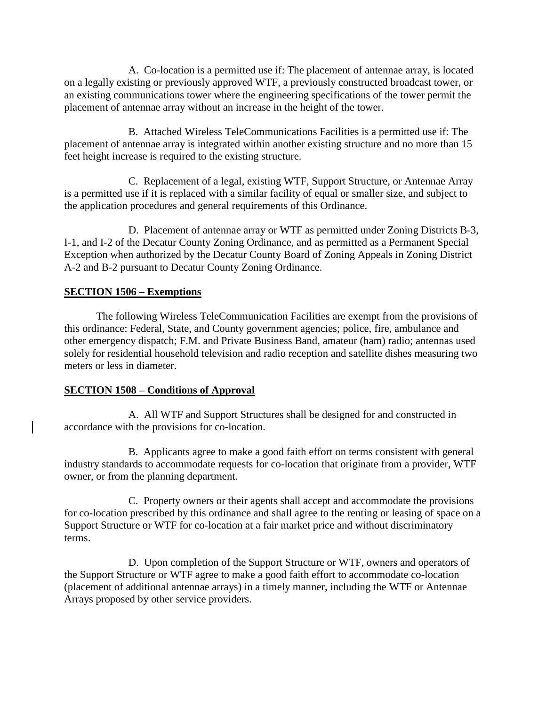A. Co-location is a permitted use if: The placement of antennae array, is located on a legally existing or previously approved WTF, a previously constructed broadcast tower, or an existing communications tower where the engineering specifications of the tower permit the placement of antennae array without an increase in the height of the tower.

B. Attached Wireless TeleCommunications Facilities is a permitted use if: The placement of antennae array is integrated within another existing structure and no more than 15 feet height increase is required to the existing structure.

C. Replacement of a legal, existing WTF, Support Structure, or Antennae Array is a permitted use if it is replaced with a similar facility of equal or smaller size, and subject to the application procedures and general requirements of this Ordinance.

D. Placement of antennae array or WTF as permitted under Zoning Districts B-3, I-1, and I-2 of the Decatur County Zoning Ordinance, and as permitted as a Permanent Special Exception when authorized by the Decatur County Board of Zoning Appeals in Zoning District A-2 and B-2 pursuant to Decatur County Zoning Ordinance.

### **SECTION 1506 – Exemptions**

The following Wireless TeleCommunication Facilities are exempt from the provisions of this ordinance: Federal, State, and County government agencies; police, fire, ambulance and other emergency dispatch; F.M. and Private Business Band, amateur (ham) radio; antennas used solely for residential household television and radio reception and satellite dishes measuring two meters or less in diameter.

### **SECTION 1508 – Conditions of Approval**

A. All WTF and Support Structures shall be designed for and constructed in accordance with the provisions for co-location.

B. Applicants agree to make a good faith effort on terms consistent with general industry standards to accommodate requests for co-location that originate from a provider, WTF owner, or from the planning department.

C. Property owners or their agents shall accept and accommodate the provisions for co-location prescribed by this ordinance and shall agree to the renting or leasing of space on a Support Structure or WTF for co-location at a fair market price and without discriminatory terms.

D. Upon completion of the Support Structure or WTF, owners and operators of the Support Structure or WTF agree to make a good faith effort to accommodate co-location (placement of additional antennae arrays) in a timely manner, including the WTF or Antennae Arrays proposed by other service providers.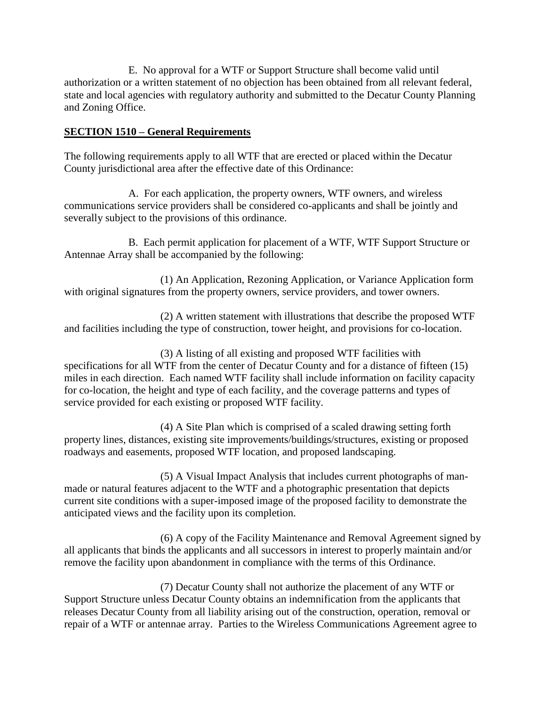E. No approval for a WTF or Support Structure shall become valid until authorization or a written statement of no objection has been obtained from all relevant federal, state and local agencies with regulatory authority and submitted to the Decatur County Planning and Zoning Office.

### **SECTION 1510 – General Requirements**

The following requirements apply to all WTF that are erected or placed within the Decatur County jurisdictional area after the effective date of this Ordinance:

A. For each application, the property owners, WTF owners, and wireless communications service providers shall be considered co-applicants and shall be jointly and severally subject to the provisions of this ordinance.

B. Each permit application for placement of a WTF, WTF Support Structure or Antennae Array shall be accompanied by the following:

(1) An Application, Rezoning Application, or Variance Application form with original signatures from the property owners, service providers, and tower owners.

(2) A written statement with illustrations that describe the proposed WTF and facilities including the type of construction, tower height, and provisions for co-location.

(3) A listing of all existing and proposed WTF facilities with specifications for all WTF from the center of Decatur County and for a distance of fifteen (15) miles in each direction. Each named WTF facility shall include information on facility capacity for co-location, the height and type of each facility, and the coverage patterns and types of service provided for each existing or proposed WTF facility.

(4) A Site Plan which is comprised of a scaled drawing setting forth property lines, distances, existing site improvements/buildings/structures, existing or proposed roadways and easements, proposed WTF location, and proposed landscaping.

(5) A Visual Impact Analysis that includes current photographs of manmade or natural features adjacent to the WTF and a photographic presentation that depicts current site conditions with a super-imposed image of the proposed facility to demonstrate the anticipated views and the facility upon its completion.

(6) A copy of the Facility Maintenance and Removal Agreement signed by all applicants that binds the applicants and all successors in interest to properly maintain and/or remove the facility upon abandonment in compliance with the terms of this Ordinance.

(7) Decatur County shall not authorize the placement of any WTF or Support Structure unless Decatur County obtains an indemnification from the applicants that releases Decatur County from all liability arising out of the construction, operation, removal or repair of a WTF or antennae array. Parties to the Wireless Communications Agreement agree to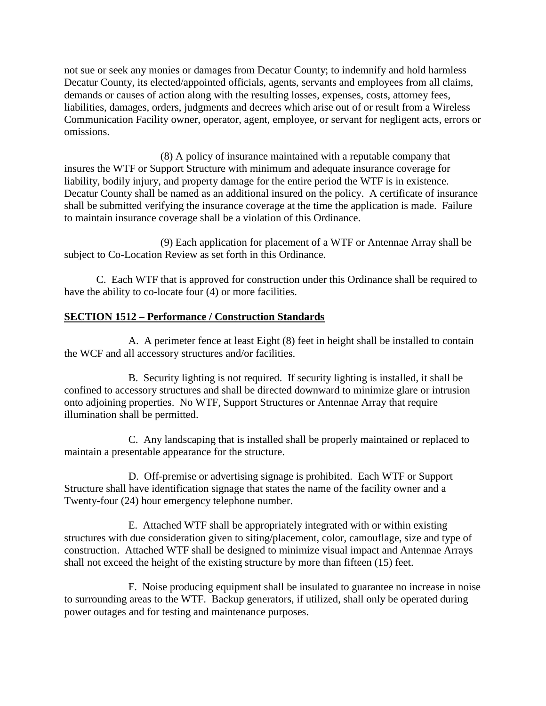not sue or seek any monies or damages from Decatur County; to indemnify and hold harmless Decatur County, its elected/appointed officials, agents, servants and employees from all claims, demands or causes of action along with the resulting losses, expenses, costs, attorney fees, liabilities, damages, orders, judgments and decrees which arise out of or result from a Wireless Communication Facility owner, operator, agent, employee, or servant for negligent acts, errors or omissions.

(8) A policy of insurance maintained with a reputable company that insures the WTF or Support Structure with minimum and adequate insurance coverage for liability, bodily injury, and property damage for the entire period the WTF is in existence. Decatur County shall be named as an additional insured on the policy. A certificate of insurance shall be submitted verifying the insurance coverage at the time the application is made. Failure to maintain insurance coverage shall be a violation of this Ordinance.

(9) Each application for placement of a WTF or Antennae Array shall be subject to Co-Location Review as set forth in this Ordinance.

C. Each WTF that is approved for construction under this Ordinance shall be required to have the ability to co-locate four (4) or more facilities.

## **SECTION 1512 – Performance / Construction Standards**

A. A perimeter fence at least Eight (8) feet in height shall be installed to contain the WCF and all accessory structures and/or facilities.

B. Security lighting is not required. If security lighting is installed, it shall be confined to accessory structures and shall be directed downward to minimize glare or intrusion onto adjoining properties. No WTF, Support Structures or Antennae Array that require illumination shall be permitted.

C. Any landscaping that is installed shall be properly maintained or replaced to maintain a presentable appearance for the structure.

D. Off-premise or advertising signage is prohibited. Each WTF or Support Structure shall have identification signage that states the name of the facility owner and a Twenty-four (24) hour emergency telephone number.

E. Attached WTF shall be appropriately integrated with or within existing structures with due consideration given to siting/placement, color, camouflage, size and type of construction. Attached WTF shall be designed to minimize visual impact and Antennae Arrays shall not exceed the height of the existing structure by more than fifteen (15) feet.

F. Noise producing equipment shall be insulated to guarantee no increase in noise to surrounding areas to the WTF. Backup generators, if utilized, shall only be operated during power outages and for testing and maintenance purposes.